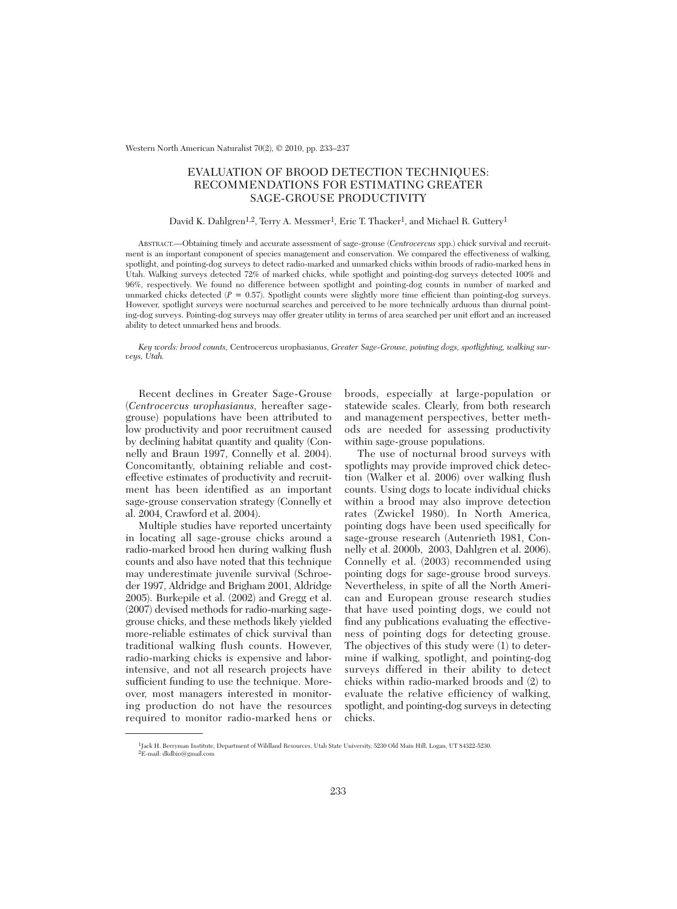Western North American Naturalist 70(2), © 2010, pp. 233–237

# EVALUATION OF BROOD DETECTION TECHNIQUES: RECOMMENDATIONS FOR ESTIMATING GREATER SAGE-GROUSE PRODUCTIVITY

# David K. Dahlgren<sup>1,2</sup>, Terry A. Messmer<sup>1</sup>, Eric T. Thacker<sup>1</sup>, and Michael R. Guttery<sup>1</sup>

ABSTRACT.—Obtaining timely and accurate assessment of sage-grouse (*Centrocercus* spp.) chick survival and recruitment is an important component of species management and conservation. We compared the effectiveness of walking, spotlight, and pointing-dog surveys to detect radio-marked and unmarked chicks within broods of radio-marked hens in Utah. Walking surveys detected 72% of marked chicks, while spotlight and pointing-dog surveys detected 100% and 96%, respectively. We found no difference between spotlight and pointing-dog counts in number of marked and unmarked chicks detected  $(P = 0.57)$ . Spotlight counts were slightly more time efficient than pointing-dog surveys. However, spotlight surveys were nocturnal searches and perceived to be more technically arduous than diurnal pointing-dog surveys. Pointing-dog surveys may offer greater utility in terms of area searched per unit effort and an increased ability to detect unmarked hens and broods.

*Key words: brood counts,* Centrocercus urophasianus, *Greater Sage-Grouse, pointing dogs, spotlighting, walking surveys, Utah.*

Recent declines in Greater Sage-Grouse (*Centrocercus urophasianus,* hereafter sagegrouse) populations have been attributed to low productivity and poor recruitment caused by declining habitat quantity and quality (Connelly and Braun 1997, Connelly et al. 2004). Concomitantly, obtaining reliable and costeffective estimates of productivity and recruitment has been identified as an important sage-grouse conservation strategy (Connelly et al. 2004, Crawford et al. 2004).

Multiple studies have reported uncertainty in locating all sage-grouse chicks around a radio-marked brood hen during walking flush counts and also have noted that this technique may underestimate juvenile survival (Schroeder 1997, Aldridge and Brigham 2001, Aldridge 2005). Burkepile et al. (2002) and Gregg et al. (2007) devised methods for radio-marking sagegrouse chicks, and these methods likely yielded more-reliable estimates of chick survival than traditional walking flush counts. However, radio-marking chicks is expensive and laborintensive, and not all research projects have sufficient funding to use the technique. Moreover, most managers interested in monitoring production do not have the resources required to monitor radio-marked hens or broods, especially at large-population or statewide scales. Clearly, from both research and management perspectives, better methods are needed for assessing productivity within sage-grouse populations.

The use of nocturnal brood surveys with spotlights may provide improved chick detection (Walker et al. 2006) over walking flush counts. Using dogs to locate individual chicks within a brood may also improve detection rates (Zwickel 1980). In North America, pointing dogs have been used specifically for sage-grouse research (Autenrieth 1981, Connelly et al. 2000b, 2003, Dahlgren et al. 2006). Connelly et al. (2003) recommended using pointing dogs for sage-grouse brood surveys. Nevertheless, in spite of all the North American and European grouse research studies that have used pointing dogs, we could not find any publications evaluating the effectiveness of pointing dogs for detecting grouse. The objectives of this study were (1) to determine if walking, spotlight, and pointing-dog surveys differed in their ability to detect chicks within radio-marked broods and (2) to evaluate the relative efficiency of walking, spotlight, and pointing-dog surveys in detecting chicks.

<sup>1</sup>Jack H. Berryman Institute, Department of Wildland Resources, Utah State University, 5230 Old Main Hill, Logan, UT 84322-5230. 2E-mail: dkdbio@gmail.com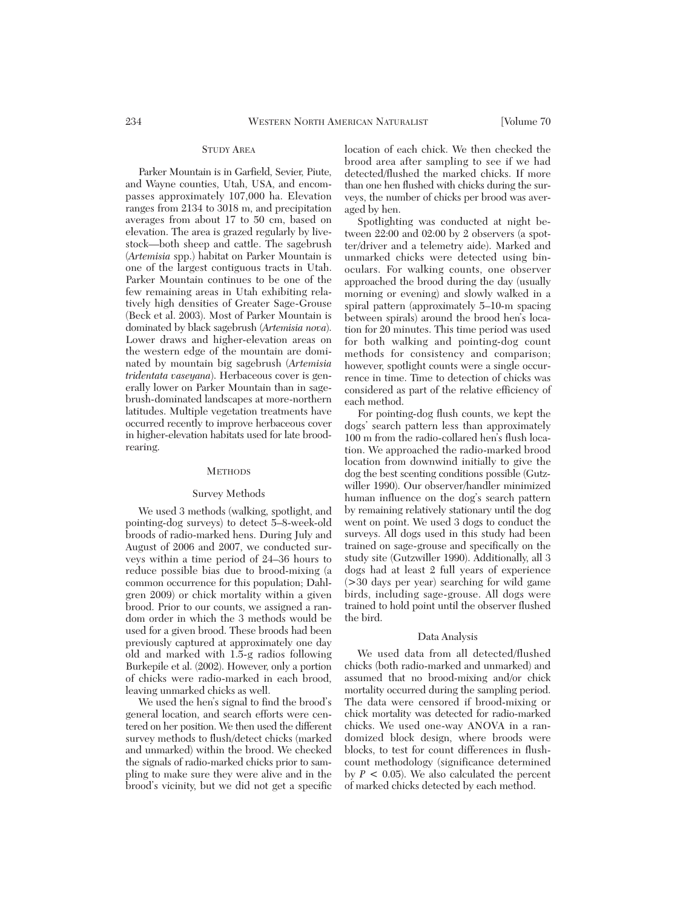# STUDY AREA

Parker Mountain is in Garfield, Sevier, Piute, and Wayne counties, Utah, USA, and encompasses approximately 107,000 ha. Elevation ranges from 2134 to 3018 m, and precipitation averages from about 17 to 50 cm, based on elevation. The area is grazed regularly by livestock—both sheep and cattle. The sagebrush (*Artemisia* spp.) habitat on Parker Mountain is one of the largest contiguous tracts in Utah. Parker Mountain continues to be one of the few remaining areas in Utah exhibiting relatively high densities of Greater Sage-Grouse (Beck et al. 2003). Most of Parker Mountain is dominated by black sagebrush (*Artemisia nova*). Lower draws and higher-elevation areas on the western edge of the mountain are dominated by mountain big sagebrush (*Artemisia tridentata vaseyana*). Herbaceous cover is generally lower on Parker Mountain than in sagebrush-dominated landscapes at more-northern latitudes. Multiple vegetation treatments have occurred recently to improve herbaceous cover in higher-elevation habitats used for late broodrearing.

### **METHODS**

#### Survey Methods

We used 3 methods (walking, spotlight, and pointing-dog surveys) to detect 5–8-week-old broods of radio-marked hens. During July and August of 2006 and 2007, we conducted surveys within a time period of 24–36 hours to reduce possible bias due to brood-mixing (a common occurrence for this population; Dahlgren 2009) or chick mortality within a given brood. Prior to our counts, we assigned a random order in which the 3 methods would be used for a given brood. These broods had been previously captured at approximately one day old and marked with 1.5-g radios following Burkepile et al. (2002). However, only a portion of chicks were radio-marked in each brood, leaving unmarked chicks as well.

We used the hen's signal to find the brood's general location, and search efforts were centered on her position. We then used the different survey methods to flush/detect chicks (marked and unmarked) within the brood. We checked the signals of radio-marked chicks prior to sampling to make sure they were alive and in the brood's vicinity, but we did not get a specific location of each chick. We then checked the brood area after sampling to see if we had detected/flushed the marked chicks. If more than one hen flushed with chicks during the surveys, the number of chicks per brood was averaged by hen.

Spotlighting was conducted at night between 22:00 and 02:00 by 2 observers (a spotter/driver and a telemetry aide). Marked and unmarked chicks were detected using binoculars. For walking counts, one observer approached the brood during the day (usually morning or evening) and slowly walked in a spiral pattern (approximately 5–10-m spacing between spirals) around the brood hen's location for 20 minutes. This time period was used for both walking and pointing-dog count methods for consistency and comparison; however, spotlight counts were a single occurrence in time. Time to detection of chicks was considered as part of the relative efficiency of each method.

For pointing-dog flush counts, we kept the dogs' search pattern less than approximately 100 m from the radio-collared hen's flush location. We approached the radio-marked brood location from downwind initially to give the dog the best scenting conditions possible (Gutzwiller 1990). Our observer/handler minimized human influence on the dog's search pattern by remaining relatively stationary until the dog went on point. We used 3 dogs to conduct the surveys. All dogs used in this study had been trained on sage-grouse and specifically on the study site (Gutzwiller 1990). Additionally, all 3 dogs had at least 2 full years of experience (>30 days per year) searching for wild game birds, including sage-grouse. All dogs were trained to hold point until the observer flushed the bird.

### Data Analysis

We used data from all detected/flushed chicks (both radio-marked and unmarked) and assumed that no brood-mixing and/or chick mortality occurred during the sampling period. The data were censored if brood-mixing or chick mortality was detected for radio-marked chicks. We used one-way ANOVA in a randomized block design, where broods were blocks, to test for count differences in flushcount methodology (significance determined by  $P < 0.05$ ). We also calculated the percent of marked chicks detected by each method.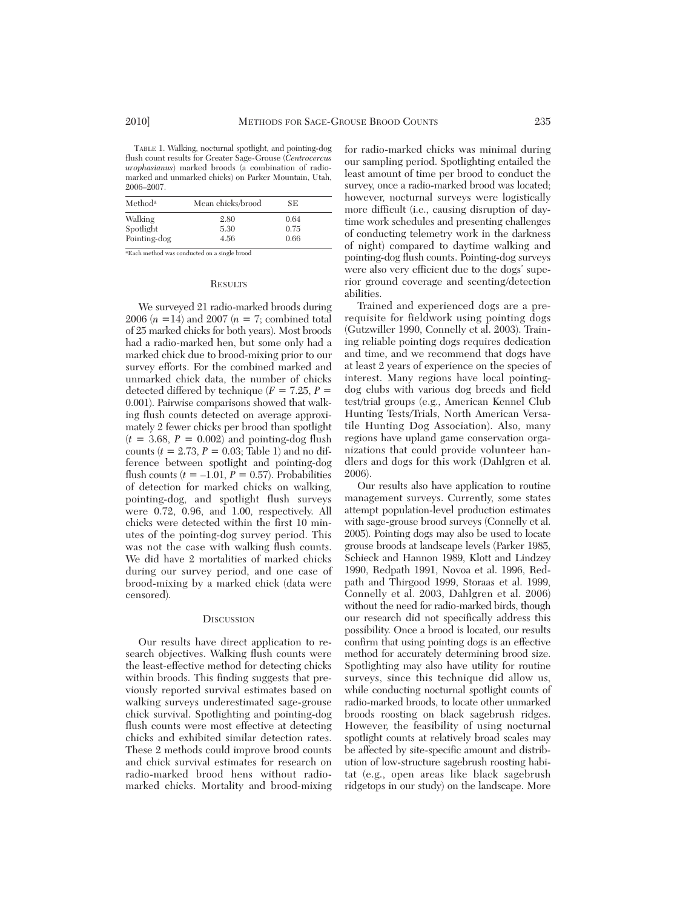TABLE 1. Walking, nocturnal spotlight, and pointing-dog flush count results for Greater Sage-Grouse (*Centrocercus urophasianus*) marked broods (a combination of radiomarked and unmarked chicks) on Parker Mountain, Utah, 2006–2007.

| Methoda              | Mean chicks/brood | SE.          |  |
|----------------------|-------------------|--------------|--|
| Walking<br>Spotlight | 2.80<br>5.30      | 0.64<br>0.75 |  |
| Pointing-dog         | 4.56              | 0.66         |  |

aEach method was conducted on a single brood

#### **RESULTS**

We surveyed 21 radio-marked broods during 2006 (*n* =14) and 2007 (*n* = 7; combined total of 25 marked chicks for both years). Most broods had a radio-marked hen, but some only had a marked chick due to brood-mixing prior to our survey efforts. For the combined marked and unmarked chick data, the number of chicks detected differed by technique  $(F = 7.25, P =$ 0.001). Pairwise comparisons showed that walking flush counts detected on average approximately 2 fewer chicks per brood than spotlight  $(t = 3.68, P = 0.002)$  and pointing-dog flush counts  $(t = 2.73, P = 0.03;$  Table 1) and no difference between spotlight and pointing-dog flush counts  $(t = -1.01, P = 0.57)$ . Probabilities of detection for marked chicks on walking, pointing-dog, and spotlight flush surveys were 0.72, 0.96, and 1.00, respectively. All chicks were detected within the first 10 minutes of the pointing-dog survey period. This was not the case with walking flush counts. We did have 2 mortalities of marked chicks during our survey period, and one case of brood-mixing by a marked chick (data were censored).

# **DISCUSSION**

Our results have direct application to re search objectives. Walking flush counts were the least-effective method for detecting chicks within broods. This finding suggests that previously reported survival estimates based on walking surveys underestimated sage-grouse chick survival. Spotlighting and pointing-dog flush counts were most effective at detecting chicks and exhibited similar detection rates. These 2 methods could improve brood counts and chick survival estimates for research on radio-marked brood hens without radiomarked chicks. Mortality and brood-mixing

for radio-marked chicks was minimal during our sampling period. Spotlighting entailed the least amount of time per brood to conduct the survey, once a radio-marked brood was located; however, nocturnal surveys were logistically more difficult (i.e., causing disruption of daytime work schedules and presenting challenges of conducting telemetry work in the darkness of night) compared to daytime walking and pointing-dog flush counts. Pointing-dog surveys were also very efficient due to the dogs' superior ground coverage and scenting/detection abilities.

Trained and experienced dogs are a prerequisite for fieldwork using pointing dogs (Gutzwiller 1990, Connelly et al. 2003). Training reliable pointing dogs requires dedication and time, and we recommend that dogs have at least 2 years of experience on the species of interest. Many regions have local pointingdog clubs with various dog breeds and field test/trial groups (e.g., American Kennel Club Hunting Tests/Trials, North American Versatile Hunting Dog Association). Also, many regions have upland game conservation organizations that could provide volunteer handlers and dogs for this work (Dahlgren et al. 2006).

Our results also have application to routine management surveys. Currently, some states attempt population-level production estimates with sage-grouse brood surveys (Connelly et al. 2005). Pointing dogs may also be used to locate grouse broods at landscape levels (Parker 1985, Schieck and Hannon 1989, Klott and Lindzey 1990, Redpath 1991, Novoa et al. 1996, Redpath and Thirgood 1999, Storaas et al. 1999, Connelly et al. 2003, Dahlgren et al. 2006) without the need for radio-marked birds, though our research did not specifically address this possibility. Once a brood is located, our results confirm that using pointing dogs is an effective method for accurately determining brood size. Spotlighting may also have utility for routine surveys, since this technique did allow us, while conducting nocturnal spotlight counts of radio-marked broods, to locate other unmarked broods roosting on black sagebrush ridges. However, the feasibility of using nocturnal spotlight counts at relatively broad scales may be affected by site-specific amount and distribution of low-structure sagebrush roosting habitat (e.g., open areas like black sagebrush ridgetops in our study) on the landscape. More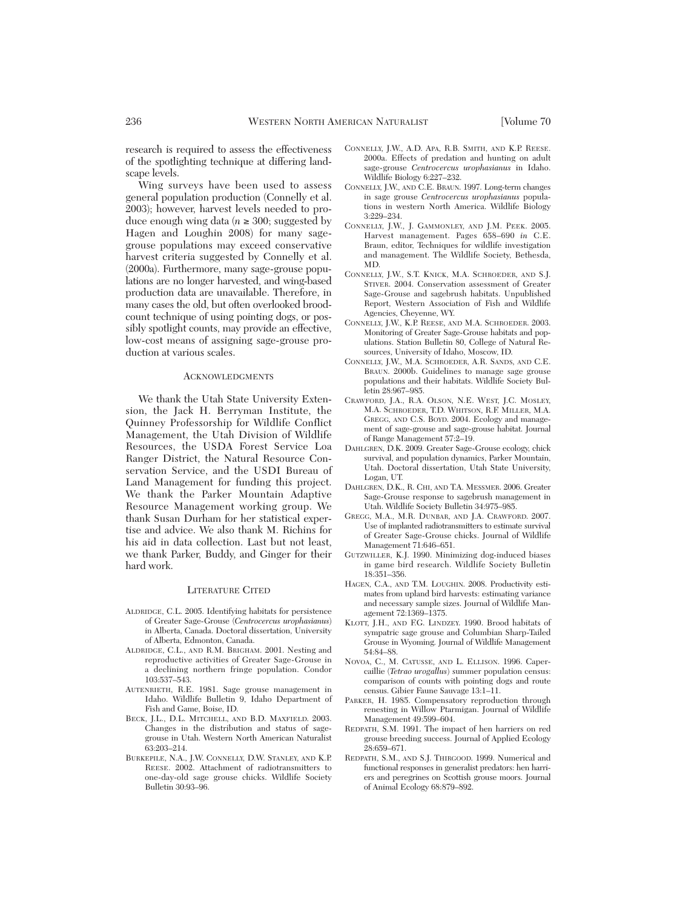research is required to assess the effectiveness of the spotlighting technique at differing landscape levels.

Wing surveys have been used to assess general population production (Connelly et al. 2003); however, harvest levels needed to produce enough wing data ( $n \geq 300$ ; suggested by Hagen and Loughin 2008) for many sagegrouse populations may exceed conservative harvest criteria suggested by Connelly et al. (2000a). Furthermore, many sage-grouse popu lations are no longer harvested, and wing-based production data are unavailable. Therefore, in many cases the old, but often overlooked broodcount technique of using pointing dogs, or possibly spotlight counts, may provide an effective, low-cost means of assigning sage-grouse production at various scales.

# **ACKNOWLEDGMENTS**

We thank the Utah State University Extension, the Jack H. Berryman Institute, the Quinney Professorship for Wildlife Conflict Management, the Utah Division of Wildlife Re sources, the USDA Forest Service Loa Ranger District, the Natural Resource Conservation Service, and the USDI Bureau of Land Management for funding this project. We thank the Parker Mountain Adaptive Resource Management working group. We thank Susan Durham for her statistical expertise and advice. We also thank M. Richins for his aid in data collection. Last but not least, we thank Parker, Buddy, and Ginger for their hard work.

#### LITERATURE CITED

- ALDRIDGE, C.L. 2005. Identifying habitats for persistence of Greater Sage-Grouse (*Centrocercus urophasianus*) in Alberta, Canada. Doctoral dissertation, University of Alberta, Edmonton, Canada.
- ALDRIDGE, C.L., AND R.M. BRIGHAM. 2001. Nesting and reproductive activities of Greater Sage-Grouse in a declining northern fringe population. Condor 103:537–543.
- AUTENRIETH, R.E. 1981. Sage grouse management in Idaho. Wildlife Bulletin 9, Idaho Department of Fish and Game, Boise, ID.
- BECK, I.L., D.L. MITCHELL, AND B.D. MAXFIELD. 2003. Changes in the distribution and status of sagegrouse in Utah. Western North American Naturalist 63:203–214.
- BURKEPILE, N.A., J.W. CONNELLY, D.W. STANLEY, AND K.P. REESE. 2002. Attachment of radiotransmitters to one-day-old sage grouse chicks. Wildlife Society Bulletin 30:93–96.
- CONNELLY, J.W., A.D. APA, R.B. SMITH, AND K.P. REESE. 2000a. Effects of predation and hunting on adult sage-grouse *Centrocercus urophasianus* in Idaho. Wildlife Biology 6:227–232.
- CONNELLY, J.W., AND C.E. BRAUN. 1997. Long-term changes in sage grouse *Centrocercus urophasianus* populations in western North America. Wildlife Biology 3:229–234.
- CONNELLY, J.W., J. GAMMONLEY, AND J.M. PEEK. 2005. Harvest management. Pages 658–690 *in* C.E. Braun, editor, Techniques for wildlife investigation and management. The Wildlife Society, Bethesda, MD.
- CONNELLY, J.W., S.T. KNICK, M.A. SCHROEDER, AND S.J. STIVER. 2004. Conservation assessment of Greater Sage-Grouse and sagebrush habitats. Unpublished Report, Western Association of Fish and Wildlife Agencies, Cheyenne, WY.
- CONNELLY, J.W., K.P. REESE, AND M.A. SCHROEDER. 2003. Monitoring of Greater Sage-Grouse habitats and populations. Station Bulletin 80, College of Natural Resources, University of Idaho, Moscow, ID.
- CONNELLY, J.W., M.A. SCHROEDER, A.R. SANDS, AND C.E. BRAUN. 2000b. Guidelines to manage sage grouse populations and their habitats. Wildlife Society Bulletin 28:967–985.
- CRAWFORD, J.A., R.A. OLSON, N.E. WEST, J.C. MOSLEY, M.A. SCHROEDER, T.D. WHITSON, R.F. MILLER, M.A. GREGG, AND C.S. BOYD. 2004. Ecology and management of sage-grouse and sage-grouse habitat. Journal of Range Management 57:2–19.
- DAHLGREN, D.K. 2009. Greater Sage-Grouse ecology, chick survival, and population dynamics, Parker Mountain, Utah. Doctoral dissertation, Utah State University, Logan, UT.
- DAHLGREN, D.K., R. CHI, AND T.A. MESSMER. 2006. Greater Sage-Grouse response to sagebrush management in Utah. Wildlife Society Bulletin 34:975–985.
- GREGG, M.A., M.R. DUNBAR, AND J.A. CRAWFORD. 2007. Use of implanted radiotransmitters to estimate survival of Greater Sage-Grouse chicks. Journal of Wildlife Management 71:646–651.
- GUTZWILLER, K.J. 1990. Minimizing dog-induced biases in game bird research. Wildlife Society Bulletin 18:351–356.
- HAGEN, C.A., AND T.M. LOUGHIN. 2008. Productivity estimates from upland bird harvests: estimating variance and necessary sample sizes. Journal of Wildlife Management 72:1369–1375.
- KLOTT, J.H., AND F.G. LINDZEY. 1990. Brood habitats of sympatric sage grouse and Columbian Sharp-Tailed Grouse in Wyoming. Journal of Wildlife Management 54:84–88.
- NOVOA, C., M. CATUSSE, AND L. ELLISON. 1996. Capercaillie (*Tetrao urogallus*) summer population census: comparison of counts with pointing dogs and route census. Gibier Faune Sauvage 13:1–11.
- PARKER, H. 1985. Compensatory reproduction through renesting in Willow Ptarmigan. Journal of Wildlife Management 49:599–604.
- REDPATH, S.M. 1991. The impact of hen harriers on red grouse breeding success. Journal of Applied Ecology 28:659–671.
- REDPATH, S.M., AND S.J. THIRGOOD. 1999. Numerical and functional responses in generalist predators: hen harriers and peregrines on Scottish grouse moors. Journal of Animal Ecology 68:879–892.